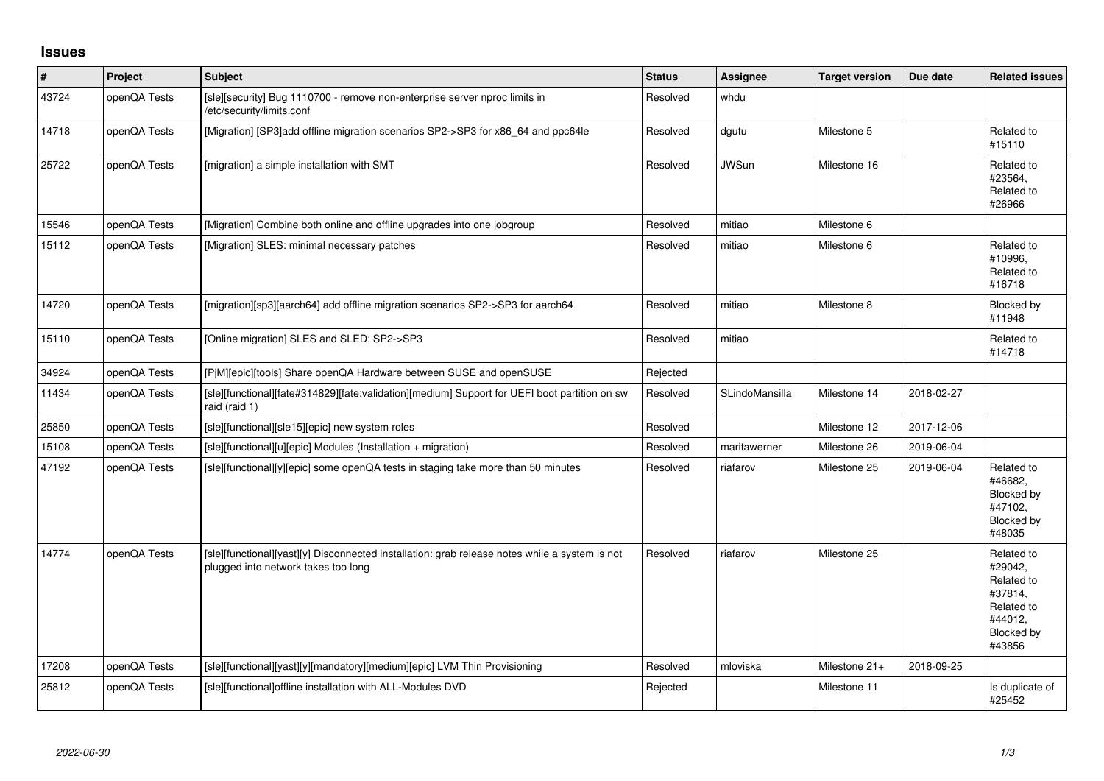## **Issues**

| $\vert$ # | Project      | <b>Subject</b>                                                                                                                        | <b>Status</b> | <b>Assignee</b> | <b>Target version</b> | Due date   | <b>Related issues</b>                                                                           |
|-----------|--------------|---------------------------------------------------------------------------------------------------------------------------------------|---------------|-----------------|-----------------------|------------|-------------------------------------------------------------------------------------------------|
| 43724     | openQA Tests | [sle][security] Bug 1110700 - remove non-enterprise server nproc limits in<br>/etc/security/limits.conf                               | Resolved      | whdu            |                       |            |                                                                                                 |
| 14718     | openQA Tests | [Migration] [SP3]add offline migration scenarios SP2->SP3 for x86_64 and ppc64le                                                      | Resolved      | dgutu           | Milestone 5           |            | Related to<br>#15110                                                                            |
| 25722     | openQA Tests | [migration] a simple installation with SMT                                                                                            | Resolved      | <b>JWSun</b>    | Milestone 16          |            | Related to<br>#23564,<br>Related to<br>#26966                                                   |
| 15546     | openQA Tests | [Migration] Combine both online and offline upgrades into one jobgroup                                                                | Resolved      | mitiao          | Milestone 6           |            |                                                                                                 |
| 15112     | openQA Tests | [Migration] SLES: minimal necessary patches                                                                                           | Resolved      | mitiao          | Milestone 6           |            | Related to<br>#10996,<br>Related to<br>#16718                                                   |
| 14720     | openQA Tests | [migration][sp3][aarch64] add offline migration scenarios SP2->SP3 for aarch64                                                        | Resolved      | mitiao          | Milestone 8           |            | Blocked by<br>#11948                                                                            |
| 15110     | openQA Tests | [Online migration] SLES and SLED: SP2->SP3                                                                                            | Resolved      | mitiao          |                       |            | Related to<br>#14718                                                                            |
| 34924     | openQA Tests | [PjM][epic][tools] Share openQA Hardware between SUSE and openSUSE                                                                    | Rejected      |                 |                       |            |                                                                                                 |
| 11434     | openQA Tests | [sle][functional][fate#314829][fate:validation][medium] Support for UEFI boot partition on sw<br>raid (raid 1)                        | Resolved      | SLindoMansilla  | Milestone 14          | 2018-02-27 |                                                                                                 |
| 25850     | openQA Tests | [sle][functional][sle15][epic] new system roles                                                                                       | Resolved      |                 | Milestone 12          | 2017-12-06 |                                                                                                 |
| 15108     | openQA Tests | [sle][functional][u][epic] Modules (Installation + migration)                                                                         | Resolved      | maritawerner    | Milestone 26          | 2019-06-04 |                                                                                                 |
| 47192     | openQA Tests | [sle][functional][y][epic] some openQA tests in staging take more than 50 minutes                                                     | Resolved      | riafarov        | Milestone 25          | 2019-06-04 | Related to<br>#46682,<br>Blocked by<br>#47102,<br>Blocked by<br>#48035                          |
| 14774     | openQA Tests | [sle][functional][yast][y] Disconnected installation: grab release notes while a system is not<br>plugged into network takes too long | Resolved      | riafarov        | Milestone 25          |            | Related to<br>#29042,<br>Related to<br>#37814,<br>Related to<br>#44012,<br>Blocked by<br>#43856 |
| 17208     | openQA Tests | [sle][functional][yast][y][mandatory][medium][epic] LVM Thin Provisioning                                                             | Resolved      | mloviska        | Milestone 21+         | 2018-09-25 |                                                                                                 |
| 25812     | openQA Tests | [sle][functional]offline installation with ALL-Modules DVD                                                                            | Rejected      |                 | Milestone 11          |            | Is duplicate of<br>#25452                                                                       |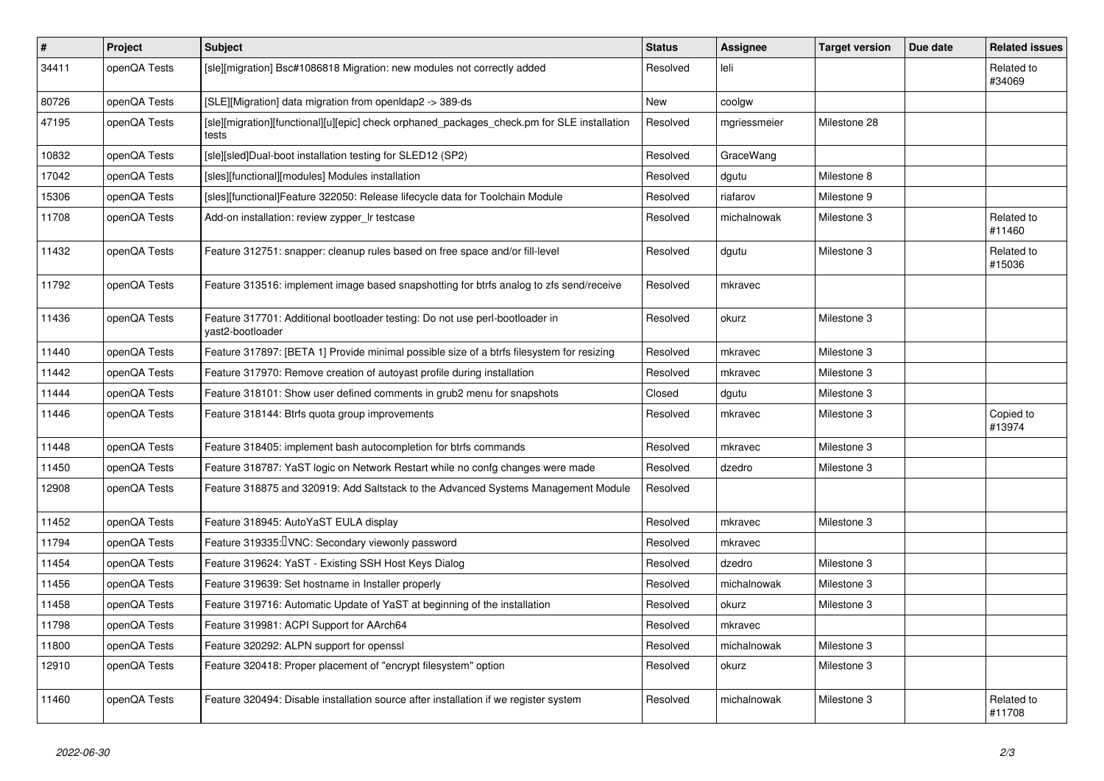| $\vert$ # | Project      | <b>Subject</b>                                                                                       | <b>Status</b> | <b>Assignee</b> | <b>Target version</b> | Due date | <b>Related issues</b> |
|-----------|--------------|------------------------------------------------------------------------------------------------------|---------------|-----------------|-----------------------|----------|-----------------------|
| 34411     | openQA Tests | [sle][migration] Bsc#1086818 Migration: new modules not correctly added                              | Resolved      | leli            |                       |          | Related to<br>#34069  |
| 80726     | openQA Tests | [SLE][Migration] data migration from openIdap2 -> 389-ds                                             | <b>New</b>    | coolgw          |                       |          |                       |
| 47195     | openQA Tests | [sle][migration][functional][u][epic] check orphaned_packages_check.pm for SLE installation<br>tests | Resolved      | mgriessmeier    | Milestone 28          |          |                       |
| 10832     | openQA Tests | [sle][sled]Dual-boot installation testing for SLED12 (SP2)                                           | Resolved      | GraceWang       |                       |          |                       |
| 17042     | openQA Tests | [sles][functional][modules] Modules installation                                                     | Resolved      | dgutu           | Milestone 8           |          |                       |
| 15306     | openQA Tests | [sles][functional]Feature 322050: Release lifecycle data for Toolchain Module                        | Resolved      | riafarov        | Milestone 9           |          |                       |
| 11708     | openQA Tests | Add-on installation: review zypper_Ir testcase                                                       | Resolved      | michalnowak     | Milestone 3           |          | Related to<br>#11460  |
| 11432     | openQA Tests | Feature 312751: snapper: cleanup rules based on free space and/or fill-level                         | Resolved      | dgutu           | Milestone 3           |          | Related to<br>#15036  |
| 11792     | openQA Tests | Feature 313516: implement image based snapshotting for btrfs analog to zfs send/receive              | Resolved      | mkravec         |                       |          |                       |
| 11436     | openQA Tests | Feature 317701: Additional bootloader testing: Do not use perl-bootloader in<br>vast2-bootloader     | Resolved      | okurz           | Milestone 3           |          |                       |
| 11440     | openQA Tests | Feature 317897: [BETA 1] Provide minimal possible size of a btrfs filesystem for resizing            | Resolved      | mkravec         | Milestone 3           |          |                       |
| 11442     | openQA Tests | Feature 317970: Remove creation of autoyast profile during installation                              | Resolved      | mkravec         | Milestone 3           |          |                       |
| 11444     | openQA Tests | Feature 318101: Show user defined comments in grub2 menu for snapshots                               | Closed        | dgutu           | Milestone 3           |          |                       |
| 11446     | openQA Tests | Feature 318144: Btrfs quota group improvements                                                       | Resolved      | mkravec         | Milestone 3           |          | Copied to<br>#13974   |
| 11448     | openQA Tests | Feature 318405: implement bash autocompletion for btrfs commands                                     | Resolved      | mkravec         | Milestone 3           |          |                       |
| 11450     | openQA Tests | Feature 318787: YaST logic on Network Restart while no confg changes were made                       | Resolved      | dzedro          | Milestone 3           |          |                       |
| 12908     | openQA Tests | Feature 318875 and 320919: Add Saltstack to the Advanced Systems Management Module                   | Resolved      |                 |                       |          |                       |
| 11452     | openQA Tests | Feature 318945: AutoYaST EULA display                                                                | Resolved      | mkravec         | Milestone 3           |          |                       |
| 11794     | openQA Tests | Feature 319335: <b>VNC:</b> Secondary viewonly password                                              | Resolved      | mkravec         |                       |          |                       |
| 11454     | openQA Tests | Feature 319624: YaST - Existing SSH Host Keys Dialog                                                 | Resolved      | dzedro          | Milestone 3           |          |                       |
| 11456     | openQA Tests | Feature 319639: Set hostname in Installer properly                                                   | Resolved      | michalnowak     | Milestone 3           |          |                       |
| 11458     | openQA Tests | Feature 319716: Automatic Update of YaST at beginning of the installation                            | Resolved      | okurz           | Milestone 3           |          |                       |
| 11798     | openQA Tests | Feature 319981: ACPI Support for AArch64                                                             | Resolved      | mkravec         |                       |          |                       |
| 11800     | openQA Tests | Feature 320292: ALPN support for openssl                                                             | Resolved      | michalnowak     | Milestone 3           |          |                       |
| 12910     | openQA Tests | Feature 320418: Proper placement of "encrypt filesystem" option                                      | Resolved      | okurz           | Milestone 3           |          |                       |
| 11460     | openQA Tests | Feature 320494: Disable installation source after installation if we register system                 | Resolved      | michalnowak     | Milestone 3           |          | Related to<br>#11708  |